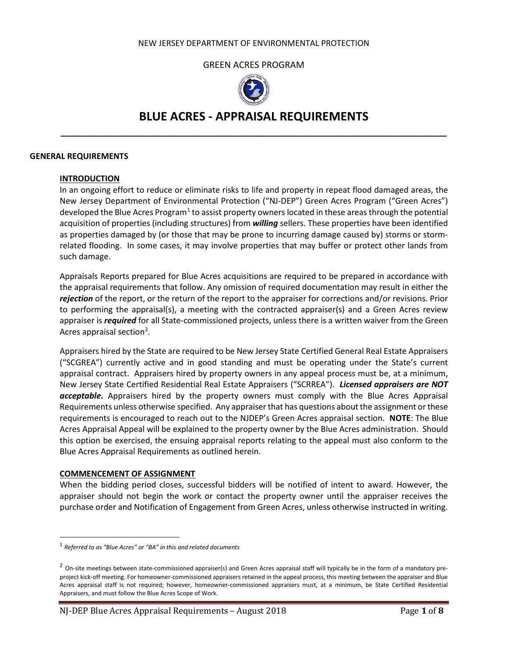#### GREEN ACRES PROGRAM



# **BLUE ACRES - APPRAISAL REQUIREMENTS \_\_\_\_\_\_\_\_\_\_\_\_\_\_\_\_\_\_\_\_\_\_\_\_\_\_\_\_\_\_\_\_\_\_\_\_\_\_\_\_\_\_\_\_\_\_\_\_\_\_\_\_\_\_\_\_\_\_\_\_\_\_\_\_\_\_\_\_\_\_\_\_\_\_\_\_\_\_\_\_\_\_\_\_\_**

#### **GENERAL REQUIREMENTS**

#### **INTRODUCTION**

In an ongoing effort to reduce or eliminate risks to life and property in repeat flood damaged areas, the New Jersey Department of Environmental Protection ("NJ-DEP") Green Acres Program ("Green Acres") developed the Blue Acres Program<sup>[1](#page-0-0)</sup> to assist property owners located in these areas through the potential acquisition of properties (including structures) from *willing* sellers. These properties have been identified as properties damaged by (or those that may be prone to incurring damage caused by) storms or stormrelated flooding. In some cases, it may involve properties that may buffer or protect other lands from such damage.

Appraisals Reports prepared for Blue Acres acquisitions are required to be prepared in accordance with the appraisal requirements that follow. Any omission of required documentation may result in either the *rejection* of the report, or the return of the report to the appraiser for corrections and/or revisions. Prior to performing the appraisal(s), a meeting with the contracted appraiser(s) and a Green Acres review appraiser is *required* for all State-commissioned projects, unless there is a written waiver from the Green Acres appraisal section<sup>[2](#page-0-1)</sup>.

Appraisers hired by the State are required to be New Jersey State Certified General Real Estate Appraisers ("SCGREA") currently active and in good standing and must be operating under the State's current appraisal contract. Appraisers hired by property owners in any appeal process must be, at a minimum, New Jersey State Certified Residential Real Estate Appraisers ("SCRREA"). *Licensed appraisers are NOT acceptable.* Appraisers hired by the property owners must comply with the Blue Acres Appraisal Requirements unless otherwise specified. Any appraiser that has questions about the assignment or these requirements is encouraged to reach out to the NJDEP's Green Acres appraisal section. **NOTE**: The Blue Acres Appraisal Appeal will be explained to the property owner by the Blue Acres administration. Should this option be exercised, the ensuing appraisal reports relating to the appeal must also conform to the Blue Acres Appraisal Requirements as outlined herein.

#### **COMMENCEMENT OF ASSIGNMENT**

When the bidding period closes, successful bidders will be notified of intent to award. However, the appraiser should not begin the work or contact the property owner until the appraiser receives the purchase order and Notification of Engagement from Green Acres, unless otherwise instructed in writing.

<span id="page-0-0"></span><sup>1</sup> *Referred to as "Blue Acres" or "BA" in this and related documents*

<span id="page-0-1"></span><sup>&</sup>lt;sup>2</sup> On-site meetings between state-commissioned appraiser(s) and Green Acres appraisal staff will typically be in the form of a mandatory preproject kick-off meeting. For homeowner-commissioned appraisers retained in the appeal process, this meeting between the appraiser and Blue Acres appraisal staff is not required; however, homeowner-commissioned appraisers must, at a minimum, be State Certified Residential Appraisers, and must follow the Blue Acres Scope of Work.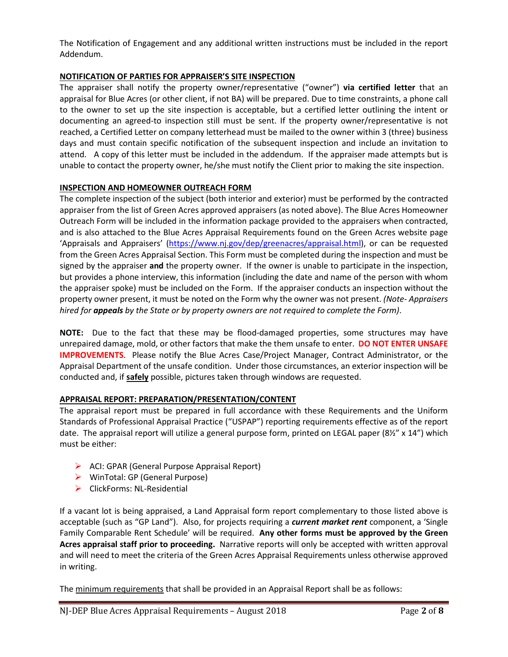The Notification of Engagement and any additional written instructions must be included in the report Addendum.

## **NOTIFICATION OF PARTIES FOR APPRAISER'S SITE INSPECTION**

The appraiser shall notify the property owner/representative ("owner") **via certified letter** that an appraisal for Blue Acres (or other client, if not BA) will be prepared. Due to time constraints, a phone call to the owner to set up the site inspection is acceptable, but a certified letter outlining the intent or documenting an agreed-to inspection still must be sent. If the property owner/representative is not reached, a Certified Letter on company letterhead must be mailed to the owner within 3 (three) business days and must contain specific notification of the subsequent inspection and include an invitation to attend. A copy of this letter must be included in the addendum. If the appraiser made attempts but is unable to contact the property owner, he/she must notify the Client prior to making the site inspection.

### **INSPECTION AND HOMEOWNER OUTREACH FORM**

The complete inspection of the subject (both interior and exterior) must be performed by the contracted appraiser from the list of Green Acres approved appraisers (as noted above). The Blue Acres Homeowner Outreach Form will be included in the information package provided to the appraisers when contracted, and is also attached to the Blue Acres Appraisal Requirements found on the Green Acres website page 'Appraisals and Appraisers' [\(https://www.nj.gov/dep/greenacres/appraisal.html\)](https://www.nj.gov/dep/greenacres/appraisal.html), or can be requested from the Green Acres Appraisal Section. This Form must be completed during the inspection and must be signed by the appraiser **and** the property owner. If the owner is unable to participate in the inspection, but provides a phone interview, this information (including the date and name of the person with whom the appraiser spoke) must be included on the Form. If the appraiser conducts an inspection without the property owner present, it must be noted on the Form why the owner was not present. *(Note- Appraisers hired for appeals by the State or by property owners are not required to complete the Form)*.

**NOTE:** Due to the fact that these may be flood-damaged properties, some structures may have unrepaired damage, mold, or other factors that make the them unsafe to enter. **DO NOT ENTER UNSAFE IMPROVEMENTS**. Please notify the Blue Acres Case/Project Manager, Contract Administrator, or the Appraisal Department of the unsafe condition. Under those circumstances, an exterior inspection will be conducted and, if **safely** possible, pictures taken through windows are requested.

# **APPRAISAL REPORT: PREPARATION/PRESENTATION/CONTENT**

The appraisal report must be prepared in full accordance with these Requirements and the Uniform Standards of Professional Appraisal Practice ("USPAP") reporting requirements effective as of the report date. The appraisal report will utilize a general purpose form, printed on LEGAL paper (8½" x 14") which must be either:

- $\triangleright$  ACI: GPAR (General Purpose Appraisal Report)
- WinTotal: GP (General Purpose)
- $\triangleright$  ClickForms: NL-Residential

If a vacant lot is being appraised, a Land Appraisal form report complementary to those listed above is acceptable (such as "GP Land"). Also, for projects requiring a *current market rent* component, a 'Single Family Comparable Rent Schedule' will be required. **Any other forms must be approved by the Green Acres appraisal staff prior to proceeding.** Narrative reports will only be accepted with written approval and will need to meet the criteria of the Green Acres Appraisal Requirements unless otherwise approved in writing.

The minimum requirements that shall be provided in an Appraisal Report shall be as follows: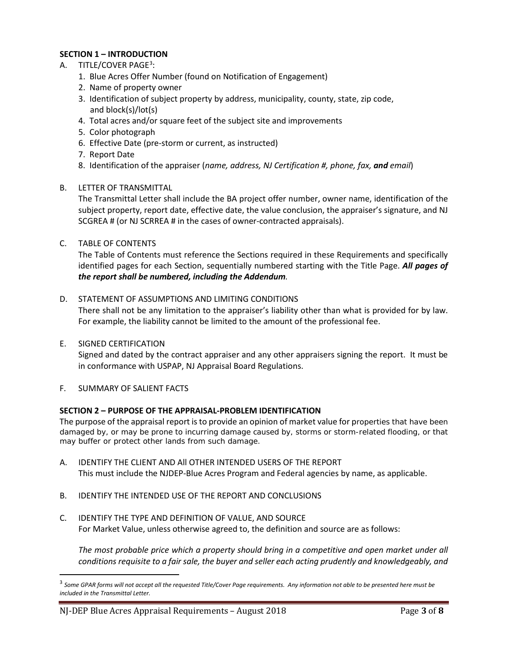# **SECTION 1 – INTRODUCTION**

- A. TITLE/COVER PAGE<sup>[3](#page-2-0)</sup>:
	- 1. Blue Acres Offer Number (found on Notification of Engagement)
	- 2. Name of property owner
	- 3. Identification of subject property by address, municipality, county, state, zip code, and block(s)/lot(s)
	- 4. Total acres and/or square feet of the subject site and improvements
	- 5. Color photograph
	- 6. Effective Date (pre-storm or current, as instructed)
	- 7. Report Date
	- 8. Identification of the appraiser (*name, address, NJ Certification #, phone, fax, and email*)
- B. LETTER OF TRANSMITTAL

The Transmittal Letter shall include the BA project offer number, owner name, identification of the subject property, report date, effective date, the value conclusion, the appraiser's signature, and NJ SCGREA # (or NJ SCRREA # in the cases of owner-contracted appraisals).

C. TABLE OF CONTENTS

The Table of Contents must reference the Sections required in these Requirements and specifically identified pages for each Section, sequentially numbered starting with the Title Page. *All pages of the report shall be numbered, including the Addendum.*

#### D. STATEMENT OF ASSUMPTIONS AND LIMITING CONDITIONS There shall not be any limitation to the appraiser's liability other than what is provided for by law. For example, the liability cannot be limited to the amount of the professional fee.

E. SIGNED CERTIFICATION

Signed and dated by the contract appraiser and any other appraisers signing the report. It must be in conformance with USPAP, NJ Appraisal Board Regulations.

F. SUMMARY OF SALIENT FACTS

#### **SECTION 2 – PURPOSE OF THE APPRAISAL-PROBLEM IDENTIFICATION**

The purpose of the appraisal report is to provide an opinion of market value for properties that have been damaged by, or may be prone to incurring damage caused by, storms or storm-related flooding, or that may buffer or protect other lands from such damage.

- A. IDENTIFY THE CLIENT AND All OTHER INTENDED USERS OF THE REPORT This must include the NJDEP-Blue Acres Program and Federal agencies by name, as applicable.
- B. IDENTIFY THE INTENDED USE OF THE REPORT AND CONCLUSIONS
- C. IDENTIFY THE TYPE AND DEFINITION OF VALUE, AND SOURCE For Market Value, unless otherwise agreed to, the definition and source are as follows:

*The most probable price which a property should bring in a competitive and open market under all conditions requisite to a fair sale, the buyer and seller each acting prudently and knowledgeably, and* 

<span id="page-2-0"></span> <sup>3</sup> *Some GPAR forms will not accept all the requested Title/Cover Page requirements. Any information not able to be presented here must be included in the Transmittal Letter.*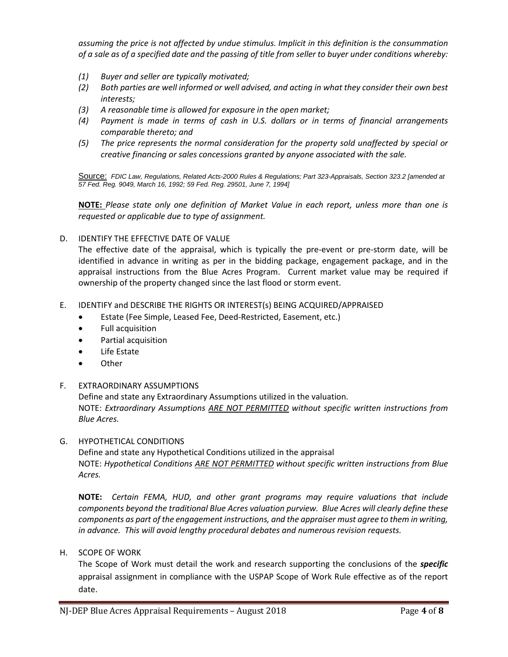*assuming the price is not affected by undue stimulus. Implicit in this definition is the consummation of a sale as of a specified date and the passing of title from seller to buyer under conditions whereby:*

- *(1) Buyer and seller are typically motivated;*
- *(2) Both parties are well informed or well advised, and acting in what they consider their own best interests;*
- *(3) A reasonable time is allowed for exposure in the open market;*
- *(4) Payment is made in terms of cash in U.S. dollars or in terms of financial arrangements comparable thereto; and*
- *(5) The price represents the normal consideration for the property sold unaffected by special or creative financing or sales concessions granted by anyone associated with the sale.*

Source: *FDIC Law, Regulations, Related Acts-2000 Rules & Regulations; Part 323-Appraisals, Section 323.2 [amended at 57 Fed. Reg. 9049, March 16, 1992; 59 Fed. Reg. 29501, June 7, 1994]*

**NOTE:** *Please state only one definition of Market Value in each report, unless more than one is requested or applicable due to type of assignment.*

D. IDENTIFY THE EFFECTIVE DATE OF VALUE

The effective date of the appraisal, which is typically the pre-event or pre-storm date, will be identified in advance in writing as per in the bidding package, engagement package, and in the appraisal instructions from the Blue Acres Program. Current market value may be required if ownership of the property changed since the last flood or storm event.

- E. IDENTIFY and DESCRIBE THE RIGHTS OR INTEREST(s) BEING ACQUIRED/APPRAISED
	- Estate (Fee Simple, Leased Fee, Deed-Restricted, Easement, etc.)
	- Full acquisition
	- Partial acquisition
	- Life Estate
	- Other
- F. EXTRAORDINARY ASSUMPTIONS

Define and state any Extraordinary Assumptions utilized in the valuation. NOTE: *Extraordinary Assumptions ARE NOT PERMITTED without specific written instructions from Blue Acres.*

G. HYPOTHETICAL CONDITIONS

Define and state any Hypothetical Conditions utilized in the appraisal NOTE: *Hypothetical Conditions ARE NOT PERMITTED without specific written instructions from Blue Acres.*

**NOTE:** *Certain FEMA, HUD, and other grant programs may require valuations that include components beyond the traditional Blue Acres valuation purview. Blue Acres will clearly define these components as part of the engagement instructions, and the appraiser must agree to them in writing, in advance. This will avoid lengthy procedural debates and numerous revision requests.*

H. SCOPE OF WORK

The Scope of Work must detail the work and research supporting the conclusions of the *specific* appraisal assignment in compliance with the USPAP Scope of Work Rule effective as of the report date.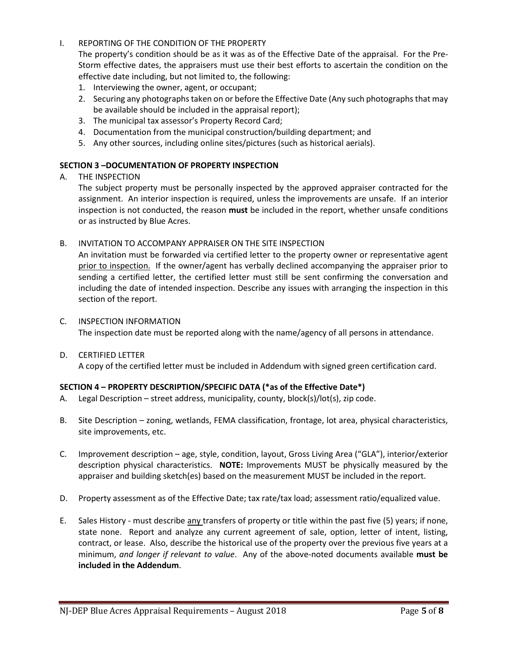### I. REPORTING OF THE CONDITION OF THE PROPERTY

The property's condition should be as it was as of the Effective Date of the appraisal. For the Pre-Storm effective dates, the appraisers must use their best efforts to ascertain the condition on the effective date including, but not limited to, the following:

- 1. Interviewing the owner, agent, or occupant;
- 2. Securing any photographs taken on or before the Effective Date (Any such photographs that may be available should be included in the appraisal report);
- 3. The municipal tax assessor's Property Record Card;
- 4. Documentation from the municipal construction/building department; and
- 5. Any other sources, including online sites/pictures (such as historical aerials).

### **SECTION 3 –DOCUMENTATION OF PROPERTY INSPECTION**

A. THE INSPECTION

The subject property must be personally inspected by the approved appraiser contracted for the assignment. An interior inspection is required, unless the improvements are unsafe. If an interior inspection is not conducted, the reason **must** be included in the report, whether unsafe conditions or as instructed by Blue Acres.

#### B. INVITATION TO ACCOMPANY APPRAISER ON THE SITE INSPECTION

An invitation must be forwarded via certified letter to the property owner or representative agent prior to inspection. If the owner/agent has verbally declined accompanying the appraiser prior to sending a certified letter, the certified letter must still be sent confirming the conversation and including the date of intended inspection. Describe any issues with arranging the inspection in this section of the report.

- C. INSPECTION INFORMATION The inspection date must be reported along with the name/agency of all persons in attendance.
- D. CERTIFIED LETTER A copy of the certified letter must be included in Addendum with signed green certification card.

# **SECTION 4 – PROPERTY DESCRIPTION/SPECIFIC DATA (\*as of the Effective Date\*)**

- A. Legal Description street address, municipality, county, block(s)/lot(s), zip code.
- B. Site Description zoning, wetlands, FEMA classification, frontage, lot area, physical characteristics, site improvements, etc.
- C. Improvement description age, style, condition, layout, Gross Living Area ("GLA"), interior/exterior description physical characteristics. **NOTE:** Improvements MUST be physically measured by the appraiser and building sketch(es) based on the measurement MUST be included in the report.
- D. Property assessment as of the Effective Date; tax rate/tax load; assessment ratio/equalized value.
- E. Sales History must describe any transfers of property or title within the past five (5) years; if none, state none. Report and analyze any current agreement of sale, option, letter of intent, listing, contract, or lease. Also, describe the historical use of the property over the previous five years at a minimum, *and longer if relevant to value*. Any of the above-noted documents available **must be included in the Addendum**.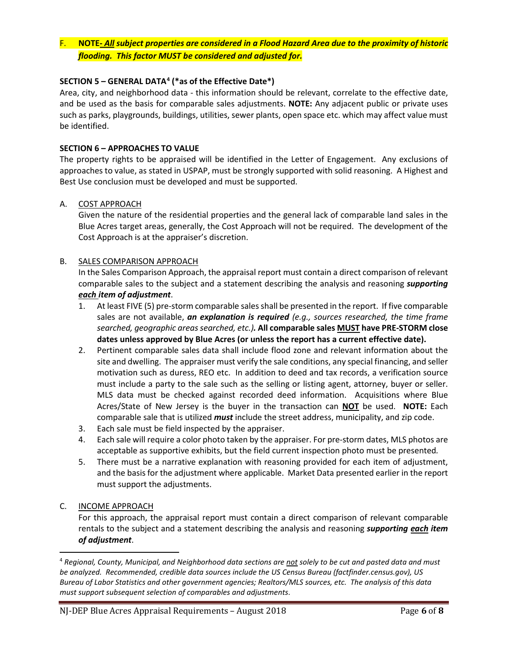# F. **NOTE-** *All subject properties are considered in a Flood Hazard Area due to the proximity of historic flooding. This factor MUST be considered and adjusted for.*

## **SECTION 5 – GENERAL DATA[4](#page-5-0) (\*as of the Effective Date\*)**

Area, city, and neighborhood data - this information should be relevant, correlate to the effective date, and be used as the basis for comparable sales adjustments. **NOTE:** Any adjacent public or private uses such as parks, playgrounds, buildings, utilities, sewer plants, open space etc. which may affect value must be identified.

#### **SECTION 6 – APPROACHES TO VALUE**

The property rights to be appraised will be identified in the Letter of Engagement. Any exclusions of approaches to value, as stated in USPAP, must be strongly supported with solid reasoning. A Highest and Best Use conclusion must be developed and must be supported.

#### A. COST APPROACH

Given the nature of the residential properties and the general lack of comparable land sales in the Blue Acres target areas, generally, the Cost Approach will not be required. The development of the Cost Approach is at the appraiser's discretion.

#### B. SALES COMPARISON APPROACH

In the Sales Comparison Approach, the appraisal report must contain a direct comparison of relevant comparable sales to the subject and a statement describing the analysis and reasoning *supporting each item of adjustment*.

- 1. At least FIVE (5) pre-storm comparable sales shall be presented in the report. If five comparable sales are not available, *an explanation is required (e.g., sources researched, the time frame searched, geographic areas searched, etc.).* **All comparable sales MUST have PRE-STORM close dates unless approved by Blue Acres (or unless the report has a current effective date).**
- 2. Pertinent comparable sales data shall include flood zone and relevant information about the site and dwelling. The appraiser must verify the sale conditions, any special financing, and seller motivation such as duress, REO etc. In addition to deed and tax records, a verification source must include a party to the sale such as the selling or listing agent, attorney, buyer or seller. MLS data must be checked against recorded deed information. Acquisitions where Blue Acres/State of New Jersey is the buyer in the transaction can **NOT** be used. **NOTE:** Each comparable sale that is utilized *must* include the street address, municipality, and zip code.
- 3. Each sale must be field inspected by the appraiser.
- 4. Each sale will require a color photo taken by the appraiser. For pre-storm dates, MLS photos are acceptable as supportive exhibits, but the field current inspection photo must be presented*.*
- 5. There must be a narrative explanation with reasoning provided for each item of adjustment, and the basis for the adjustment where applicable. Market Data presented earlier in the report must support the adjustments.

#### C. INCOME APPROACH

For this approach, the appraisal report must contain a direct comparison of relevant comparable rentals to the subject and a statement describing the analysis and reasoning *supporting each item of adjustment*.

<span id="page-5-0"></span> <sup>4</sup> *Regional, County, Municipal, and Neighborhood data sections are not solely to be cut and pasted data and must be analyzed. Recommended, credible data sources include the US Census Bureau (factfinder.census.gov), US Bureau of Labor Statistics and other government agencies; Realtors/MLS sources, etc. The analysis of this data must support subsequent selection of comparables and adjustments*.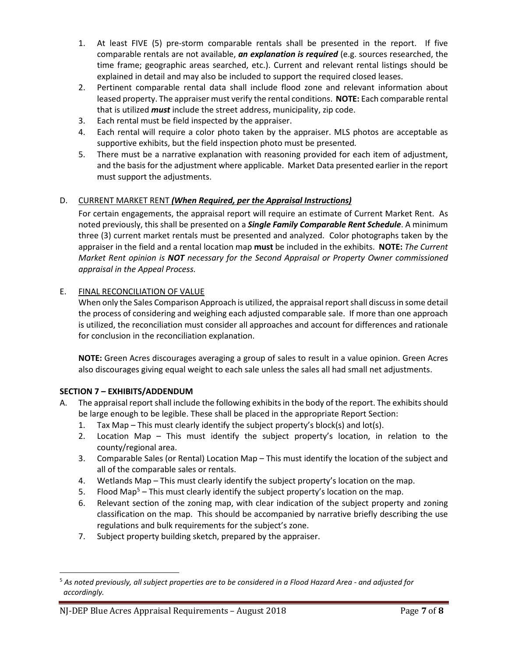- 1. At least FIVE (5) pre-storm comparable rentals shall be presented in the report. If five comparable rentals are not available, *an explanation is required* (e.g. sources researched, the time frame; geographic areas searched, etc.). Current and relevant rental listings should be explained in detail and may also be included to support the required closed leases.
- 2. Pertinent comparable rental data shall include flood zone and relevant information about leased property. The appraiser must verify the rental conditions. **NOTE:** Each comparable rental that is utilized *must* include the street address, municipality, zip code.
- 3. Each rental must be field inspected by the appraiser.
- 4. Each rental will require a color photo taken by the appraiser. MLS photos are acceptable as supportive exhibits, but the field inspection photo must be presented*.*
- 5. There must be a narrative explanation with reasoning provided for each item of adjustment, and the basis for the adjustment where applicable. Market Data presented earlier in the report must support the adjustments.

# D. CURRENT MARKET RENT *(When Required, per the Appraisal Instructions)*

For certain engagements, the appraisal report will require an estimate of Current Market Rent. As noted previously, this shall be presented on a *Single Family Comparable Rent Schedule*. A minimum three (3) current market rentals must be presented and analyzed. Color photographs taken by the appraiser in the field and a rental location map **must** be included in the exhibits. **NOTE:** *The Current Market Rent opinion is NOT necessary for the Second Appraisal or Property Owner commissioned appraisal in the Appeal Process.*

# E. FINAL RECONCILIATION OF VALUE

When only the Sales Comparison Approach is utilized, the appraisal report shall discuss in some detail the process of considering and weighing each adjusted comparable sale. If more than one approach is utilized, the reconciliation must consider all approaches and account for differences and rationale for conclusion in the reconciliation explanation.

**NOTE:** Green Acres discourages averaging a group of sales to result in a value opinion. Green Acres also discourages giving equal weight to each sale unless the sales all had small net adjustments.

# **SECTION 7 – EXHIBITS/ADDENDUM**

- A. The appraisal report shall include the following exhibits in the body of the report. The exhibits should be large enough to be legible. These shall be placed in the appropriate Report Section:
	- 1. Tax Map This must clearly identify the subject property's block(s) and lot(s).
	- 2. Location Map This must identify the subject property's location, in relation to the county/regional area.
	- 3. Comparable Sales (or Rental) Location Map This must identify the location of the subject and all of the comparable sales or rentals.
	- 4. Wetlands Map This must clearly identify the subject property's location on the map.
	- 5. Flood Map<sup>5</sup> This must clearly identify the subject property's location on the map.
	- 6. Relevant section of the zoning map, with clear indication of the subject property and zoning classification on the map. This should be accompanied by narrative briefly describing the use regulations and bulk requirements for the subject's zone.
	- 7. Subject property building sketch, prepared by the appraiser.

<span id="page-6-0"></span> <sup>5</sup> *As noted previously, all subject properties are to be considered in a Flood Hazard Area - and adjusted for accordingly.*